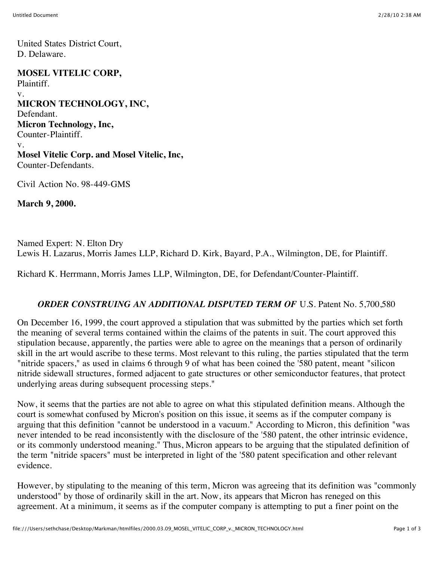United States District Court, D. Delaware.

**MOSEL VITELIC CORP,** Plaintiff. v. **MICRON TECHNOLOGY, INC,** Defendant. **Micron Technology, Inc,** Counter-Plaintiff. v. **Mosel Vitelic Corp. and Mosel Vitelic, Inc,** Counter-Defendants.

Civil Action No. 98-449-GMS

**March 9, 2000.**

Named Expert: N. Elton Dry Lewis H. Lazarus, Morris James LLP, Richard D. Kirk, Bayard, P.A., Wilmington, DE, for Plaintiff.

Richard K. Herrmann, Morris James LLP, Wilmington, DE, for Defendant/Counter-Plaintiff.

## **ORDER CONSTRUING AN ADDITIONAL DISPUTED TERM OF U.S. Patent No. 5,700,580**

On December 16, 1999, the court approved a stipulation that was submitted by the parties which set forth the meaning of several terms contained within the claims of the patents in suit. The court approved this stipulation because, apparently, the parties were able to agree on the meanings that a person of ordinarily skill in the art would ascribe to these terms. Most relevant to this ruling, the parties stipulated that the term "nitride spacers," as used in claims 6 through 9 of what has been coined the '580 patent, meant "silicon nitride sidewall structures, formed adjacent to gate structures or other semiconductor features, that protect underlying areas during subsequent processing steps."

Now, it seems that the parties are not able to agree on what this stipulated definition means. Although the court is somewhat confused by Micron's position on this issue, it seems as if the computer company is arguing that this definition "cannot be understood in a vacuum." According to Micron, this definition "was never intended to be read inconsistently with the disclosure of the '580 patent, the other intrinsic evidence, or its commonly understood meaning." Thus, Micron appears to be arguing that the stipulated definition of the term "nitride spacers" must be interpreted in light of the '580 patent specification and other relevant evidence.

However, by stipulating to the meaning of this term, Micron was agreeing that its definition was "commonly understood" by those of ordinarily skill in the art. Now, its appears that Micron has reneged on this agreement. At a minimum, it seems as if the computer company is attempting to put a finer point on the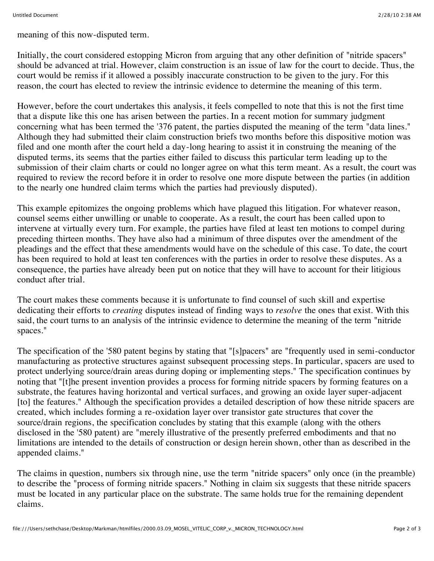meaning of this now-disputed term.

Initially, the court considered estopping Micron from arguing that any other definition of "nitride spacers" should be advanced at trial. However, claim construction is an issue of law for the court to decide. Thus, the court would be remiss if it allowed a possibly inaccurate construction to be given to the jury. For this reason, the court has elected to review the intrinsic evidence to determine the meaning of this term.

However, before the court undertakes this analysis, it feels compelled to note that this is not the first time that a dispute like this one has arisen between the parties. In a recent motion for summary judgment concerning what has been termed the '376 patent, the parties disputed the meaning of the term "data lines." Although they had submitted their claim construction briefs two months before this dispositive motion was filed and one month after the court held a day-long hearing to assist it in construing the meaning of the disputed terms, its seems that the parties either failed to discuss this particular term leading up to the submission of their claim charts or could no longer agree on what this term meant. As a result, the court was required to review the record before it in order to resolve one more dispute between the parties (in addition to the nearly one hundred claim terms which the parties had previously disputed).

This example epitomizes the ongoing problems which have plagued this litigation. For whatever reason, counsel seems either unwilling or unable to cooperate. As a result, the court has been called upon to intervene at virtually every turn. For example, the parties have filed at least ten motions to compel during preceding thirteen months. They have also had a minimum of three disputes over the amendment of the pleadings and the effect that these amendments would have on the schedule of this case. To date, the court has been required to hold at least ten conferences with the parties in order to resolve these disputes. As a consequence, the parties have already been put on notice that they will have to account for their litigious conduct after trial.

The court makes these comments because it is unfortunate to find counsel of such skill and expertise dedicating their efforts to *creating* disputes instead of finding ways to *resolve* the ones that exist. With this said, the court turns to an analysis of the intrinsic evidence to determine the meaning of the term "nitride spaces."

The specification of the '580 patent begins by stating that "[s]pacers" are "frequently used in semi-conductor manufacturing as protective structures against subsequent processing steps. In particular, spacers are used to protect underlying source/drain areas during doping or implementing steps." The specification continues by noting that "[t]he present invention provides a process for forming nitride spacers by forming features on a substrate, the features having horizontal and vertical surfaces, and growing an oxide layer super-adjacent [to] the features." Although the specification provides a detailed description of how these nitride spacers are created, which includes forming a re-oxidation layer over transistor gate structures that cover the source/drain regions, the specification concludes by stating that this example (along with the others disclosed in the '580 patent) are "merely illustrative of the presently preferred embodiments and that no limitations are intended to the details of construction or design herein shown, other than as described in the appended claims."

The claims in question, numbers six through nine, use the term "nitride spacers" only once (in the preamble) to describe the "process of forming nitride spacers." Nothing in claim six suggests that these nitride spacers must be located in any particular place on the substrate. The same holds true for the remaining dependent claims.